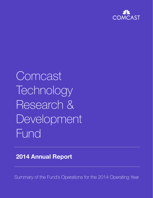

# Comcast **Technology** Research & Development Fund

# **2014 Annual Report**

Summary of the Fund's Operations for the 2014 Operating Year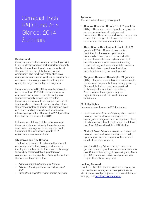# Comcast Tech R&D Fund At a Glance: 2014 **Summary**

#### **Background**

Comcast created the Comcast Technology R&D Fund to identify and support important research that has the potential to advance broadband, the Internet and the global open-source community. The fund was established as a resource for researchers working on smaller and mid-sized technology projects that may not qualify for larger national grant programs.

Grants range from \$3,000 for smaller projects, up to more than \$100,000 for medium-term research efforts. A cross-functional team of technology and business leaders within Comcast reviews grant applications and directs funding where it is most needed, and can have the greatest potential impact. The fund enjoyed a 7-figure funding commitment from several internal groups within Comcast in 2014, and that level has been renewed for 2015.

In the second full year of the grant program, Comcast disbursed virtually the entire annual fund across a range of deserving applicants. Combined, the fund issued grants to 21 applicants in seven countries.

#### **Objectives and Key Criteria**

pioneering new approaches. Among the factors,<br>the fund seeks projects that: The fund was created to advance the Internet and open-source technology, and seeks to identify research projects that move technology forward by tackling difficult problems or the fund seeks projects that:

- *Address critical cybersecurity threats*
- *Advance the deployment and adoption of IPv6*
- *Strengthen important open-source projects*

#### **Approach**

The fund offers three types of grant:

- **General Research Grants** (12 of 21 grants in 2014) – These unrestricted grants are given to support researchers at colleges and universities. They are geared toward supporting research in a range of fields relevant to the Internet and online communication.
- **Open Source Development** Grants (9 of 21 grants in 2014) – Comcast is an active participant in the global open source community. These grants are intended to support the creation and advancement of important open source projects, including those that may not have immediate business value, but which carry the potential for important technological development.
- **Targeted Research Grants** (0 of 21 grants in 2014) – Targeted research grants are set aside for research projects that may be suggested by Comcast, but which require specialized technological or academic expertise. Applicants for these grants may be organizations, academic institutions, or individuals.

#### **2014 Highlights**

Researchers we funded in 2014 included:

- *April Lorenzen of Dissect Cyber*, who received an open-source development grant to investigate a dangerous and widespread class of cybersecurity threats that exploit the Internet port (Port 53) used to deliver DNS traffic.
- *Ondrej Filip and Bedrich Kosata*, who received an open-source development grant to build open-source Internet routers for home- and small-office environments.
- *The AfterSchool Alliance*, which received a general research grant to conduct research into how Science Technology Engineering and Math (STEM) education is being incorporated into major after-school programs.

#### **Looking Forward**

to apply visit **techfund.comcast.com**. Grants for the 2015 funding year have begun, and Comcast continuously reviews applications to identify new, worthy projects. For more details, or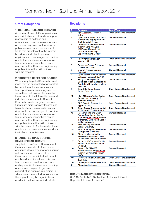#### **Grant Categories**

#### **1: GENERAL RESEARCH GRANTS**

A General Research Grant provides an unrestricted award of funds to support researchers at colleges and universities. These grants are focused on supporting excellent technical or policy research in a wide variety of fields that are relevant to the Internet broadband industry. In general, applicants are encouraged to consider grants that may have a cooperative focus, whereby researchers can be matched with a Comcast engineering or policy liaison that will be involved with the research.

#### **2: TARGETED RESEARCH GRANTS**

While many Targeted Research Grant ideas may be suggested or generated by our internal teams, we may also fund specific research suggested by submitters that is also of interest to Comcast or to the Internet broadband industries. In contrast to General Research Grants, Targeted Research Grants are more narrowly tailored and typically study more specific issues. Applicants are encouraged to consider grants that may have a cooperative focus, whereby researchers can be matched with a Comcast engineering and policy liaison that will be involved with the research. Applicants for these grants may be organizations, academic institutions, or individuals.

#### **3: TARGETED OPEN SOURCE DEVELOPMENT GRANTS**

commate in areas of interest to<br>Comcast or of benefit to the Internet<br>and broadband industries. This can Targeted Open Source Development Grants are intended to fund new or continued development of open source software in areas of interest to and broadband industries. This can fund a range of development, from adding specific features to an existing open source project, to general support of an open source project in which we are interested. Applicants for these grants may be organizations, academic institutions, or individuals.

# **Recipients**

| #  | <b>Recipient</b>                                                                                                                                        | <b>Grant Type</b>              |
|----|---------------------------------------------------------------------------------------------------------------------------------------------------------|--------------------------------|
| 1  | April Lorenzen - Dissect<br>Cyber                                                                                                                       | Open Source Development        |
| 2  | Open Home Health & Fitness<br>Monitor and Aggregators for<br>the Internet of Things                                                                     | <b>General Research</b>        |
| 3  | <b>Cooperative Association for</b><br><b>Internet Data Analysis</b><br>(CAIDA) - University of<br>California, San Diego<br><b>Supercomputing Center</b> | <b>General Research</b>        |
| 4  | Ruby Version Manager,<br>Version 1.X                                                                                                                    | Open Source Development        |
| 5  | <b>Research Secure &amp; Usable</b><br><b>Game CAPTCHAs</b>                                                                                             | <b>General Research</b>        |
| 6  | <b>Internet Protocol Journal</b><br>Publication                                                                                                         | <b>General Research</b>        |
| 7  | Open Source Home Gateway<br>Software Project at CZ.NIC                                                                                                  | Open Source Development        |
| 8  | <b>Study on Perceptually</b><br>Optimized Video Encoding for<br><b>Bandwidth Reduction in Video</b><br><b>Services</b>                                  | <b>General Research</b>        |
| 9  | <b>OpenSSL Open Source</b><br><b>Project Support</b>                                                                                                    | Open Source Development        |
| 10 | <b>High Efficiency Video Codec</b><br>Research - University of<br><b>Texas at Arlington</b>                                                             | <b>Open Source Development</b> |
| 11 | <b>CPE Security Research -</b><br><b>Hyperion Gray</b>                                                                                                  | Open Source Development        |
| 12 | Open Source Development of<br>JITSI WebRTC Videobridge                                                                                                  | Open Source Development        |
| 13 | Research Into and Open<br>Source Development of An<br>Improved memcached-Based<br>In-Memory Distributed Cache -<br><b>Lehigh University</b>             | <b>General Research</b>        |
| 14 | IPv6 Routing Research -<br><b>Drexel University</b>                                                                                                     | <b>General Research</b>        |
| 15 | Email Interception Research -<br>Georgetown University                                                                                                  | <b>General Research</b>        |
| 16 | Study on Measuring the<br>Known-Known and Known-<br>Unknown in Network Security                                                                         | <b>General Research</b>        |
| 17 | Study on IPv6 - Asia-Pacific<br><b>Network Information Center</b><br>(APNIC)                                                                            | <b>General Research</b>        |
| 18 | <b>Support for MAAWG</b><br>Participation at the Instanbul<br>Internet Governance Forum<br>(IGF)                                                        | <b>General Research</b>        |
| 19 | Development of Email Cypto<br><b>Test Suite</b>                                                                                                         | Open Source Development        |
| 20 | Develop Apache HTTP Client                                                                                                                              | Open Source Development        |
| 21 | <b>Afterschool Alliance</b>                                                                                                                             | <b>General Research</b>        |

#### **GRANTS MADE BY GEOGRAPHY:**

these grants may be organizations,<br>
USA 15; Australia 1; Switzerland 1; Turkey 1; Czech<br>
Denublis 1: Express 1: Operation Republic 1; France 1; Greece 1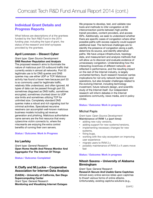# **Individual Grant Details and Progress Reports**

What follows are descriptions of al the grantees funded by the Tech R&D Fund in the 2014 funding year, including the type of grant, the status of the research and brief synopses provided by the grantees.

### **April Lorenzen – Dissect Cyber**

*Grant type: Open Source Development* **DNS Resolver Reputation and Analysis** The proposed research aims to illuminate the nature of malicious port 53 outbound traffic that currently exists in almost all networks. Port 53 legitimate use is for DNS queries and DNS queries may use either UDP or TCP. Malicious activity has found a haven here because port 53 is so commonly used for legitimate traffic, relatively little understood, and often ignored. All types of data can be passed through port 53, sometimes disguised as DNS traffic, sometimes encrypted, sometimes chunked down to UDP size limits and sometimes utilizing TCP for unlimited size. Completely standard DNS queries make a robust and rich signaling tool for criminal activities. Specialized recursive resolvers can accomplish well-known malicious business models including ad revenue generation and phishing. Malicious authoritative name servers are the first resource that every cybercrime victim connects to, where the miscreants are enjoying the extra control benefits of running their own servers.

#### **Status / Outcome: Work In Progress**

#### **Ira Laefsky**

*Grant type: General Research* **Open Home Health And Fitness Monitor And Aggregator For The Internet Of Things**

# **Status / Outcome: Completed**

#### **K.Claffy and M.Luckie – Cooperative Association for Internet Data Analysis**

**(CAIDA) – University of California, San Diego Supercomputing Center** *Grant Type: General Research*  **Monitoring and Visualizing Internet Outages**

We propose to develop, test, and validate new tools and methods to infer congestion at AS interconnection points between high-profile transit providers, content providers, and access ISPs. Additionally, we seek to understand whether there are specific cases of congestion where other possible paths with excess capacity could support additional load. The technical challenges are to: identify the presence of congestion along a path, determine its source, and identify alternative paths. We have unique infrastructure, topology data, and measurement and analysis methods that will allow us to discover and evaluate evidence of unnecessary congestion. Understanding how the interacting incentives of different networks are reflected in performance, and the resulting impact on the rest of the Internet industry, is largely uncharted territory. Such research however carries implications for not only network technology and operations, but also broader challenges related to the evolving Internet, including technology investment, future network design, and scientific study of the Internet itself. Our independent research will inform debates in the Internet operations community, news media, and in policy circles.

#### **Status / Outcome: Work in progress**

#### **Michal Papis**

*Grant type: Open Source Development* **Maintenance of RVM 1.x (part time):**

- adding new ruby versions,
- adding support for new systems/versions,
- implementing necessary changes for new systems,
- fixing bugs,
- working with the ruby ecosystem on improving user experience
- migrate users to RVM 2.x
- possibly maintenance of RVM 2.x if users move fast

#### **Status / Outcome: Work in progress**

#### **Nitesh Saxena – University of Alabama Birmingham**

*Grant Type: General Research* 

(CAIDA) – University of California, San Diego<br>Supercomputing Center the 2014 of thwart various forms of online attacks. **Research Secure And Usable Game Captchas** Almost every online service relies upon captchas Unfortunately, existing captcha solutions (e.g.,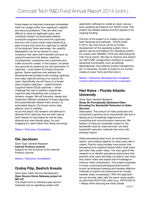those based on distorted characters embedded within an image) suffer from significant usability and security problems. They are often very difficult to solve by legitimate users, and constantly broken via automated attacks (computer programs that solve the captchas) and low-cost human-solver relay attacks (e.g., paid humans that solve the captchas on behalf of the attacker). More alarmingly, the usability degradation can be so severe on many occasions that users feel frustrated and give up using the services that deploy captchas. Consequently, companies lose customers and suffer economic losses. In this project, we break new grounds by exploring the next generation of captchas – ones based on simple computer games. Game captchas may address the aforementioned problems with existing captchas and make captcha-solving a fun activity for users. Specifically, we will focus on a broad class of game captchas -- called Dynamic Cognitive Game (DCG) captchas -- which challenge the user to perform a game-like cognitive task interacting with a series of dynamic images. We will formalize, design and implement different variations of these captchas, and systematically dissect them across: (1) automated attacks, (2) human-solver relay attacks, and (3) usability.

As an end result, this research will attempt to develop DCG captchas that are both secure (with respect to automated as well as relay attacks) and user-friendly (easy, fun and engaging for users rather than being annoying).

#### **Status / Outcome: Completed**

# **Ole Jacobsen**

*Grant Type: General Research* **Internet Protocol Journal** Support for the re-launch of the Internet Protocol Journal

2014 Annual Report **Status / Outcome: Completed**

# **Ondrej Filip, Bedrich Kosata**

#### *Grant type: Open Source Development* **Open Source Home Gateway project at NIC.CZ**

The project aims to develop open-source hardware and an operating system with

application software to create an open, secure, auto-updating and feature rich SOHO router. The project has already started and this request is for ongoing funding.

The aim of the project is to create a truly open both hardware and software - SOHO router. In 2014, the main focus will be on further development of the operating system into a generic secure and feature rich operating system for routers with DNSSEC, IPv6 and QoS being the main focus points. We plan to improve and extend our NETCONF configuration interface to support advanced functionality, such as settings dependencies, fine-grained access management, etc. In hardware, we plan to build on our current model of router Turris and fine-tune it.

**Status / Outcome: Development complete, routers delivered to Comcast for evaluation**

# **Hari Kalva – Florida Atlantic University**

#### *Grant Type: General Research*  **Study On Perceptually Optimized Video Encoding For Bandwidth Reduction In Video Services**

Description: The amount of video produced and consumed is growing at an exponential rate and is taking up an increasingly large amount of computing and communication resources. We believe, to have an immediate impact on the bandwidth used by video services, we need bandwidth reduction methods that work with existing codecs.

Open Source Home Gateway project at we can encode video with the same visual quality<br>
We can encode video with the same visual quality Video processing tasks such as compression, search, and analysis depend on what users see in videos. Psycho-visual studies have shown that perceptual and cognitive factors affect what users see when they watch video. The main goal of this research is to identify perceptual phenomena that predicts what users are likely not able to see when they watch video and exploit that knowledge to improve video compression. This project proposes to study a promising perceptual phenomenon known as temporal masking and develop effective methods to exploit this phenomena for visually lossless video compression. With this approach as optimized AVC/H.264 video (e.g., AVC/H.264 at 1 Mbps) while reducing the video bitrate.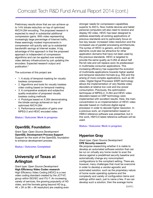Preliminary results show that we can achieve up to 14% bitrate reduction on top of optimized AVC/H.264 encoding. The proposed research is expected to result in substantial additional compression gains. With video representing increasingly large percentage of Internet traffic, these seemingly modest improvements in compression will quickly add up to substantial bandwidth savings at Internet scales. A big advantage of this approach is that the proposed approach is independent of compression algorithms and can be applied over existing video delivery infrastructure by just updating the encoders. Expected research output and publication \*

The outcomes of this project are:

- 1. A study of temporal masking for visually lossless compression
- 2. Algorithms and tools for visually lossless video coding based on temporal masking
- 3. A comparative analysis and subjective quality evaluation of proposed visually lossless coding methods
- 4. Prototype based on X.264 demonstrating the bitrate savings achieved on top of optimized AVC/H.264
- 5. Performance evaluation of gains over MPEG-2 and HEVC encoded video.

#### **Status / Outcome: Work in progress**

# **OpenSSL Foundation**

*Grant Type: Open Source Development* **OpenSSL Development Process Support** Support for the work of the OpenSSL foundation to enhance development process

#### **Status / Outcome: Completed**

# **University of Texas at Arlington**

#### *Grant type: Open Source Development*  **High Efficiency Video Codec research** High Efficiency Video Coding (HEVC) is a new

video coding standard created by the JCT-VC variety of services, the growing popularity of HD video, and the formats going beyond HD (e.g.,  $4K \times 2K$  or 8K  $\times$  4K resolution) are creating even stronger needs for compression capabilities superior to AVC's. Now mobile devices and tablet personal computers will also need to receive and display HD video. HEVC has been designed to address essentially all existing applications of previous standards and to particularly focus on two key issues: increased video resolution and the increased use of parallel processing architectures. The syntax of HEVC is generic, and its design elements could also be attractive for other application domains that have not been used by the previous standards. HEVC is targeted to provide the same quality as H.264 at about half the bit-rate and will replace soon its predecessor in multimedia consumer applications. This increasing efficiency has supported the evolution of multimedia applications towards higher spatial and temporal resolution formats (e.g. HD) and the arising of more complex applications, such as 3D video. Digital Signal Processor (DSP) technology allows the implementation of very flexible video decoders at relative low cost and low power consumption. Previously, the optimization techniques of MPEG-2, H.264 and HEVC video decoders based on DSP technology were implemented with excellent results. Here, the main concentration is on implementation of HEVC video decoder based on multicore digital signal processor in order to decode higher resolution. In a previous work, an implementation based on HM9.0 reference software was presented, but in this work, HM13.0 latest reference software will be used.

#### **Status / Outcome: Work in progress**

# **Hyperion Gray**

#### *Grant type: Open Source Development* **CPE Security research**

video coding standard created by the JCT-VC<br>group within ISO/IEC and ITU-T. An increasing exactling within each just to name a few If we can We propose researching whether it is viable to develop an automated software solution that can be run on virtually any home router to scan the device against a predefined security baseline and automatically change any noncompliant configurations to the compliant setting. There are, however, many challenges that must be overcome in order to develop a vendor-agnostic and automated solution, such as the proprietary nature of home router operating systems and the complexity and variety of configuration items and settings within each, just to name a few. If we can develop such a solution, then the average home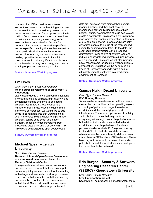user – or their ISP – could be empowered to secure their home router with nothing more than a mouse click, which would truly revolutionize home network security. Our proposed solution is distinct from current router lock-down solutions in that we are proposing a *vendor-agnostic*  solution that is *generalized and extensible*; current solutions tend to be vendor-specific and version-specific, meaning that each one must be developed individually for each model and version. Furthermore, our proposed research leading up to the development of a solution prototype would make significant contributions to the broader security community, in contrast to existing or planned proprietary solutions.

#### **Status / Outcome: Work in progress**

## **Emil Ivov**

#### *Grant type: Open Source Development* **Open Source Development of JITSI WebRTC Videobridge**

Jitsi Videobridge is a new open communications project that enables scalable, high-quality video conferences and is designed to be used for WebRTC. Currently, it already supports a number of popular use-cases including multiparty web conferences. We would like to add some important features that would make it even more versatile and useful to expand how WebRTC can be used as an application platform. These are Video Recording, Post processing capability, and a JSON / REST API. This would be released as open source code.

**Status / Outcome: Work in progress**

# **Michael Spear – Lehigh University**

#### *Grant Type: General Research*  **Research into and Open Source Development of an Improved memcached based In-Memory Distributed Cache**

In large-scale internet services, an in-memory cache provides a shortcut that allows compute nodes to quickly acquire data without interacting with a large and slow network storage. However, cache can be a bottleneck. In conversations with John McCann and Sree Kotay, we learned of one such problem, where large packets of

data are requested from memcached servers, modified slightly, and then sent back to memcached servers. During periods of high network traffic, two transfers of large packets can create a bottleneck. This research will invent new mechanisms that enable computation, in the form of pre-compiled shared libraries or dynamically generated scripts, to be run at the memcached server. By sending computation to the data, the overheads of transmission can be reduced dramatically, lowering overall system load and reducing bandwidth requirements during periods of high demand. This research will also produce novel mechanisms for deciding when to migrate computation. Evaluation will be performed on traces of Comcast workloads, with a goal of ultimately using the software in a production environment at Comcast.

#### **Status / Outcome: Work in progress**

# **Gaurav Naik – Drexel University**

#### *Grant Type: General Research*  **IPv6 Routing Research**

Today's networks are developed with numerous assumptions about their typical operating regions consisting of patterns of usage, the network conditions and their underlying support infrastructure. These assumptions lead to a fairly static choice of routes that may perform adequately within regions of anticipated operation but fail drastically under unexpected network conditions or unanticipated uses. This team proposes to demonstrate IPv6 segment routing (SR) and SFC to illustrate how data, video or otherwise, can be more efficiently delivered over routed links in SDN and non-SDN networks. These links may not necessarily represent the shortest paths but instead the most efficient (or best) paths for the content to be delivered.

#### **Status / Outcome: Work in progress**

# **Eric Burger – Security & Software Engineering Research Center (S2ERC) - Georgetown University**

Summary of the Fund of the Fund of the 2014 Operations for the 2014 Operations interaction with the in-memory<br> **Email interception project** *Grant Type: General Research* **Email interception project** Description: The proposal is a measurement study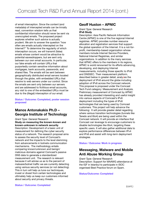of email interception. Since the content (and metadata) of intercepted emails can be trivially read, convention wisdom tells us that confidential information should never be sent via unencrypted emails. The proposed project explores whether such advice is actually prudent. We aim to answer the question "how often are emails actually intercepted on the Internet?" To determine the regularity of which interception occurs, we will transmit (false) emails whose content would be attractive to potential eavesdroppers, but are sent only between our own email accounts. In particular, our fake emails will contain URLs that purportedly contain sensitive information about mortgages, bank accounts, passwords, and shared files. The emails will be sent between geographically distributed email servers located through the globe, with embedded URLs that resolve to web servers under our control. Since the emails are sent only between our servers and are addressed to fictitious email accounts, any visit to one of the embedded URLs must be due to the (illegal) interception of our email.

**Status / Outcome: Completed, poster session proposed**

# **Manos Antonakakis Ph.D – Georgia Institute of Technology**

ultimately help us keep our customers informed<br>about security and privacy threats *Grant Type: General Research*  **Study on measuring the known-known and known-unknown in network security** Description: Development of a basic unit of measurement for defining the cyber security status of a network. The research proposal aims to assess the security level of Comcast's network and the impacts to the level stemming from advancements in botnets communication mechanisms. The methodology entails comparing known/unknown and benign/ malicious domains against Comcast's passive DNS data to generate a standardized measurement unit. The research is relevant because it will advise us as to the percent of malware/botnet traffic we are currently detecting using various security services (or not detecting). This in turn will help us tune our techniques, invest or divest from certain technologies and about security and privacy threats.

# **Geoff Huston – APNIC**

*Grant Type: General Research*  **IPv6 Study**

Description: Asia Pacific Network Information Centre (APNIC) is one of the five regional Internet registries. APNIC provides number resource allocation and registration services that support the global operation of the Internet. It is a not-forprofit, membership-based organization whose members include Internet Service Providers, National Internet Registries, and similar organizations. In addition to the many services that APNIC offers to the members in its regions, APNIC is world renowned for its efforts advancing, developing, and deploying Internet measurements, including those specific to IPv6 and DNSSEC. Their measurement platform, described below in greater detail, analyzes the deployment of IPv6 around the globe including adoption of IPv6 across the Comcast network. This proposal is proposed under the Comcast Tech Fund category: Measurement and Analysis. Preliminary measurement of Comcast by APNIC has already provided interesting and useful insight into various aspects of Comcast's IPv6 deployment including the types of IPv6 technologies that are being used by Comcast customers. This project will help advance the following: It will provide greater detail regarding where various transition technologies (tunnels like Teredo and 6to4) are being used within the Comcast network. It will provide an interface that Comcast can leverage to encourage customers to disable technologies like 6to4, targeting these specific users. It will also gather additional data to explore performance differences between IPv4 and IPv6 and assist with long-term deployment strategies.

#### **Status / Outcome: Work in progress**

# **Messaging, Malware and Mobile Anti Abuse Working Group**

*Grant Type: General Research* Description: Support for MAAWG attendance at the IGF in Istanbul to participate in ISOC organised Best Practice forum on Spam.

#### **Status/Outcome: Completed**